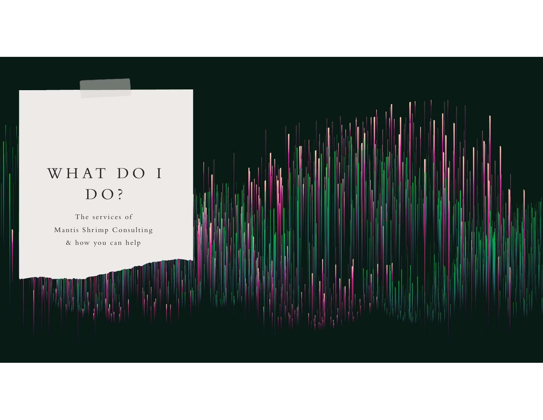## WHAT DO I DO?

<u> 1999 - Jan Jan Jawa</u>

The services of Mantis Shrimp Consulting & how you can help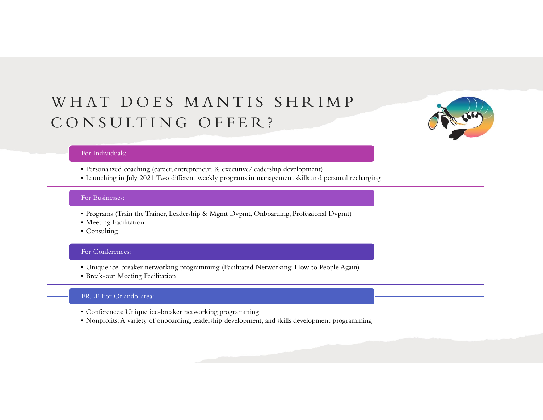# WHAT DOES MANTIS SHRIMP WHAT DOES MANTIS SHRIMP<br>CONSULTING OFFER? FAT DOES MANTIS SHRIMP<br>
NSULTING OFFER?<br>
For Individuals:<br>
• Personalized coaching (career, entrepreneur, & executive/leadership development)<br>
• Launching in July 2021:Two different weekly programs in management skills and  $\begin{array}{l|l} \hline \text{A T} & \text{D O ES} & \text{M AN TIS} & \text{S HR IM P} \\\hline \text{NS ULITING} & \text{O FFER ?} \\\hline \end{array}$ <br>
For Individuals<br>
Personalized coaching (career, entrepreneur, & executive/leadership development)<br>
Launching in July 2021: Two different weekly FORT DOES MANTIS SHRIMP<br>
NSULTING OFFER?<br>
For Individuals:<br>
For Individuals:<br>
Programs (Train the Trainer, Leadership & Mgmt Dvpmt, Onboarding, Professional Dvpmt)<br>
Programs (Train the Trainer, Leadership & Mgmt Dvpmt, Onb  $[AT\ DOES\ MANDTIS\ SHR$ <br>  $\rm NSULTING\ OFFER?$ <br>
For Individuals:<br>
• Personalized coaching (career, entrepreneur, & executive/leadership developm<br>
• Launching in July 2021:Two different weekly programs in management skills<br>
For Businesses  $[ \begin{array}{l} \vspace{0.1cm} \begin{array}{l} \vspace{0.1cm} \begin{array}{l} \vspace{0.1cm} \begin{array}{l} \vspace{0.1cm} \begin{array}{l} \vspace{0.1cm} \begin{array}{l} \vspace{0.1cm} \begin{array}{l} \vspace{0.1cm} \begin{array}{l} \vspace{0.1cm} \begin{array}{l} \vspace{0.1cm} \begin{array}{l} \vspace{0.1cm} \begin{array}{l} \vspace{0.1cm} \begin{array}{l} \vspace{0.1cm} \begin{array}{l} \vspace{0.1cm} \begin{array}{l} \vspace{$ FORT DOES MANTIS SHRIMP<br>
INSULTING OFFER?<br>
For Individuals<br>
For Disclair Coaching (career, entrepreneur, & executive/leadership development)<br>
Launching in July 2021:Two different weekly programs in management skills and p FORT THE STATE IN STATE REFORM THE REFORM THE REFORMINGLY THE REFORMATION IN STATE THE REFORMATION CONDUCT THE MANUSCRET CHANGED CONDUCT CONDUCT THE MANUSCRET CHANGED FOR BUSINESS:<br>
The Businesses:<br>
For Businesses:<br>
• Prog



### For Individuals:

- 
- For Individuals:<br>• Personalized coaching (career, entrepreneur, & executive/leadership development)<br>• Launching in July 2021:Two different weekly programs in management skills and personal recl<br>For Businesses:<br>• Programs ( For Individuals:<br>• Personalized coaching (career, entrepreneur, & executive/leadership development)<br>• Launching in July 2021: Iwo different weekly programm in management skills and personal recharging<br>For Businesses:<br>• Pog

### For Businesses:

- 
- 
- 

### For Conferences:

- 
- 

### FREE For Orlando-area:

- 
-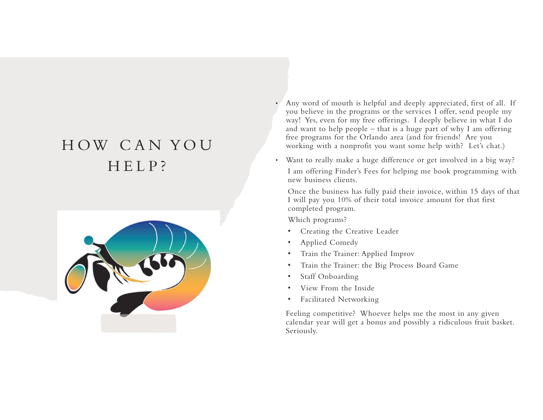

- H OW C A N YO U Any word of mouth is helpful<br>
you believe in the programs<br>
you believe in the programs<br>
you believe in the programs<br>
you believe in the programs<br>
way! Yes, even for my free of<br>
and worsting with a nonprofit you<br>
free progr • Any word of mouth is helpful and deeply appreciated, first of all. If you believe in the programs or the services I offer, send people my way! Yes, even for my free offerings. I deeply believe in what I do Any word of mouth is helpful and deeply appreciated, first of all. If<br>you believe in the programs or the services I offer, send people my<br>way! Yes, even for my free offerings. I deeply believe in what I do<br>and want to help free programs for the Orlando area (and for friends! Are you working with a nonprofit you want some help with? Let's chat.)
	- Want to really make a huge difference or get involved in a big way? I am offering Finder's Fees for helping me book programming with new business clients.

Once the business has fully paid their invoice, within 15 days of that I will pay you 10% of their total invoice amount for that first completed program.

Which programs?

- Creating the Creative Leader
- Applied Comedy
- Train the Trainer: Applied Improv
- Train the Trainer: the Big Process Board Game
- Staff Onboarding
- View From the Inside
- Facilitated Networking

Feeling competitive? Whoever helps me the most in any given calendar year will get a bonus and possibly a ridiculous fruit basket. Seriously.